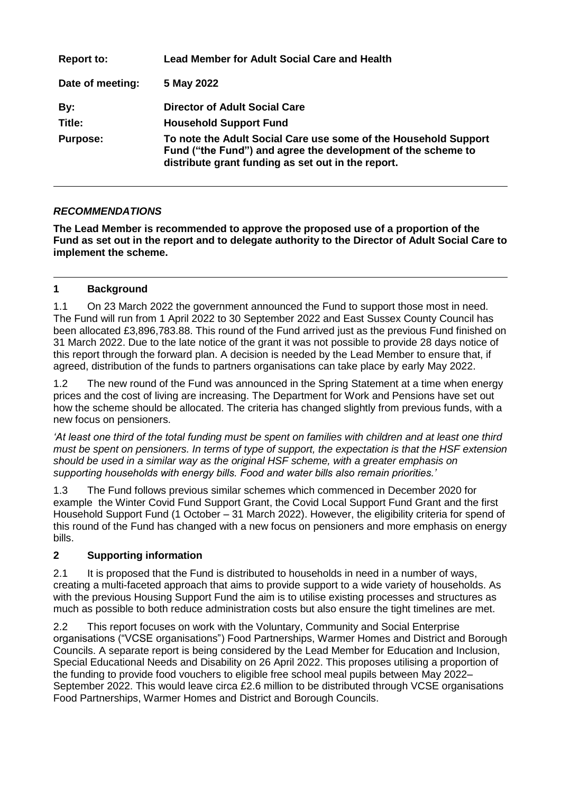| <b>Report to:</b> | <b>Lead Member for Adult Social Care and Health</b>                                                                                                                                   |
|-------------------|---------------------------------------------------------------------------------------------------------------------------------------------------------------------------------------|
| Date of meeting:  | 5 May 2022                                                                                                                                                                            |
| By:               | Director of Adult Social Care                                                                                                                                                         |
| Title:            | <b>Household Support Fund</b>                                                                                                                                                         |
| <b>Purpose:</b>   | To note the Adult Social Care use some of the Household Support<br>Fund ("the Fund") and agree the development of the scheme to<br>distribute grant funding as set out in the report. |

## *RECOMMENDATIONS*

**The Lead Member is recommended to approve the proposed use of a proportion of the Fund as set out in the report and to delegate authority to the Director of Adult Social Care to implement the scheme.** 

### **1 Background**

1.1 On 23 March 2022 the government announced the Fund to support those most in need. The Fund will run from 1 April 2022 to 30 September 2022 and East Sussex County Council has been allocated £3,896,783.88. This round of the Fund arrived just as the previous Fund finished on 31 March 2022. Due to the late notice of the grant it was not possible to provide 28 days notice of this report through the forward plan. A decision is needed by the Lead Member to ensure that, if agreed, distribution of the funds to partners organisations can take place by early May 2022.

1.2 The new round of the Fund was announced in the Spring Statement at a time when energy prices and the cost of living are increasing. The Department for Work and Pensions have set out how the scheme should be allocated. The criteria has changed slightly from previous funds, with a new focus on pensioners.

*'At least one third of the total funding must be spent on families with children and at least one third must be spent on pensioners. In terms of type of support, the expectation is that the HSF extension should be used in a similar way as the original HSF scheme, with a greater emphasis on supporting households with energy bills. Food and water bills also remain priorities.'*

1.3 The Fund follows previous similar schemes which commenced in December 2020 for example the Winter Covid Fund Support Grant, the Covid Local Support Fund Grant and the first Household Support Fund (1 October – 31 March 2022). However, the eligibility criteria for spend of this round of the Fund has changed with a new focus on pensioners and more emphasis on energy bills.

### **2 Supporting information**

2.1 It is proposed that the Fund is distributed to households in need in a number of ways, creating a multi-faceted approach that aims to provide support to a wide variety of households. As with the previous Housing Support Fund the aim is to utilise existing processes and structures as much as possible to both reduce administration costs but also ensure the tight timelines are met.

2.2 This report focuses on work with the Voluntary, Community and Social Enterprise organisations ("VCSE organisations") Food Partnerships, Warmer Homes and District and Borough Councils. A separate report is being considered by the Lead Member for Education and Inclusion, Special Educational Needs and Disability on 26 April 2022. This proposes utilising a proportion of the funding to provide food vouchers to eligible free school meal pupils between May 2022– September 2022. This would leave circa £2.6 million to be distributed through VCSE organisations Food Partnerships, Warmer Homes and District and Borough Councils.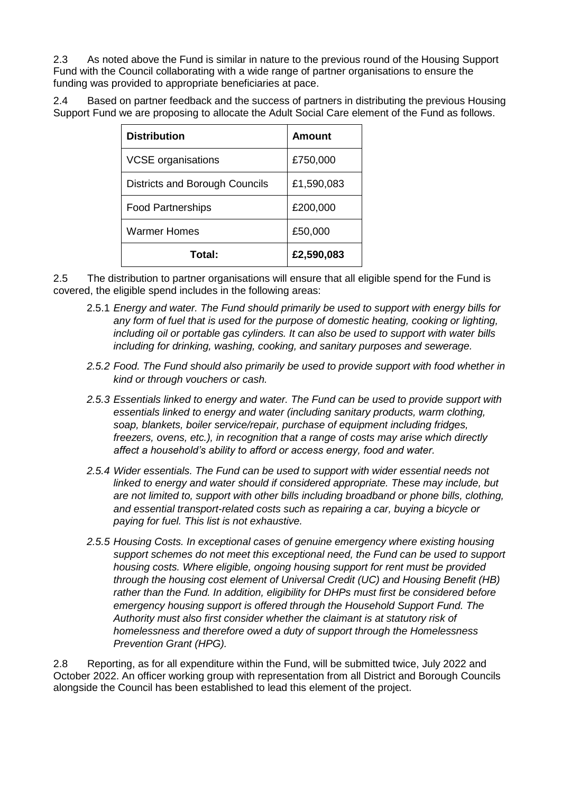2.3 As noted above the Fund is similar in nature to the previous round of the Housing Support Fund with the Council collaborating with a wide range of partner organisations to ensure the funding was provided to appropriate beneficiaries at pace.

2.4 Based on partner feedback and the success of partners in distributing the previous Housing Support Fund we are proposing to allocate the Adult Social Care element of the Fund as follows.

| <b>Distribution</b>            | Amount     |
|--------------------------------|------------|
| <b>VCSE</b> organisations      | £750,000   |
| Districts and Borough Councils | £1,590,083 |
| <b>Food Partnerships</b>       | £200,000   |
| Warmer Homes                   | £50,000    |
| Total:                         | £2,590,083 |

2.5 The distribution to partner organisations will ensure that all eligible spend for the Fund is covered, the eligible spend includes in the following areas:

- 2.5.1 *Energy and water. The Fund should primarily be used to support with energy bills for any form of fuel that is used for the purpose of domestic heating, cooking or lighting, including oil or portable gas cylinders. It can also be used to support with water bills including for drinking, washing, cooking, and sanitary purposes and sewerage.*
- *2.5.2 Food. The Fund should also primarily be used to provide support with food whether in kind or through vouchers or cash.*
- *2.5.3 Essentials linked to energy and water. The Fund can be used to provide support with essentials linked to energy and water (including sanitary products, warm clothing, soap, blankets, boiler service/repair, purchase of equipment including fridges, freezers, ovens, etc.), in recognition that a range of costs may arise which directly affect a household's ability to afford or access energy, food and water.*
- *2.5.4 Wider essentials. The Fund can be used to support with wider essential needs not linked to energy and water should if considered appropriate. These may include, but are not limited to, support with other bills including broadband or phone bills, clothing, and essential transport-related costs such as repairing a car, buying a bicycle or paying for fuel. This list is not exhaustive.*
- *2.5.5 Housing Costs. In exceptional cases of genuine emergency where existing housing support schemes do not meet this exceptional need, the Fund can be used to support housing costs. Where eligible, ongoing housing support for rent must be provided through the housing cost element of Universal Credit (UC) and Housing Benefit (HB) rather than the Fund. In addition, eligibility for DHPs must first be considered before emergency housing support is offered through the Household Support Fund. The Authority must also first consider whether the claimant is at statutory risk of homelessness and therefore owed a duty of support through the Homelessness Prevention Grant (HPG).*

2.8 Reporting, as for all expenditure within the Fund, will be submitted twice, July 2022 and October 2022. An officer working group with representation from all District and Borough Councils alongside the Council has been established to lead this element of the project.